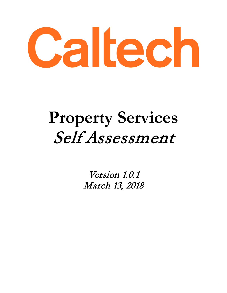# Caltech

## **Property Services** Self Assessment

Version 1.0.1 March 13, 2018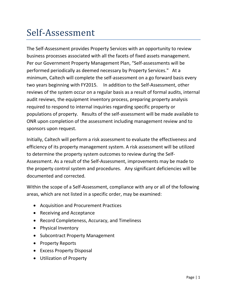## Self-Assessment

The Self-Assessment provides Property Services with an opportunity to review business processes associated with all the facets of fixed assets management. Per our Government Property Management Plan, "Self-assessments will be performed periodically as deemed necessary by Property Services." At a minimum, Caltech will complete the self-assessment on a go forward basis every two years beginning with FY2015. In addition to the Self-Assessment, other reviews of the system occur on a regular basis as a result of formal audits, internal audit reviews, the equipment inventory process, preparing property analysis required to respond to internal inquiries regarding specific property or populations of property. Results of the self-assessment will be made available to ONR upon completion of the assessment including management review and to sponsors upon request.

Initially, Caltech will perform a risk assessment to evaluate the effectiveness and efficiency of its property management system. A risk assessment will be utilized to determine the property system outcomes to review during the Self-Assessment. As a result of the Self-Assessment, improvements may be made to the property control system and procedures. Any significant deficiencies will be documented and corrected.

Within the scope of a Self-Assessment, compliance with any or all of the following areas, which are not listed in a specific order, may be examined:

- Acquisition and Procurement Practices
- Receiving and Acceptance
- Record Completeness, Accuracy, and Timeliness
- Physical Inventory
- Subcontract Property Management
- Property Reports
- Excess Property Disposal
- Utilization of Property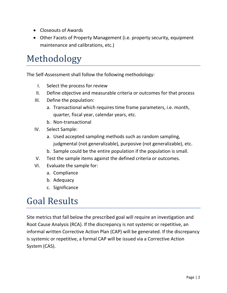- Closeouts of Awards
- Other Facets of Property Management (i.e. property security, equipment maintenance and calibrations, etc.)

## Methodology

The Self-Assessment shall follow the following methodology:

- I. Select the process for review
- II. Define objective and measurable criteria or outcomes for that process
- III. Define the population:
	- a. Transactional which requires time frame parameters, i.e. month, quarter, fiscal year, calendar years, etc.
	- b. Non-transactional
- IV. Select Sample:
	- a. Used accepted sampling methods such as random sampling, judgmental (not generalizable), purposive (not generalizable), etc.
	- b. Sample could be the entire population if the population is small.
- V. Test the sample items against the defined criteria or outcomes.
- VI. Evaluate the sample for:
	- a. Compliance
	- b. Adequacy
	- c. Significance

## Goal Results

Site metrics that fall below the prescribed goal will require an investigation and Root Cause Analysis (RCA). If the discrepancy is not systemic or repetitive, an informal written Corrective Action Plan (CAP) will be generated. If the discrepancy is systemic or repetitive, a formal CAP will be issued via a Corrective Action System (CAS).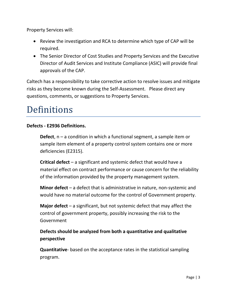Property Services will:

- Review the investigation and RCA to determine which type of CAP will be required.
- The Senior Director of Cost Studies and Property Services and the Executive Director of Audit Services and Institute Compliance (ASIC) will provide final approvals of the CAP.

Caltech has a responsibility to take corrective action to resolve issues and mitigate risks as they become known during the Self-Assessment. Please direct any questions, comments, or suggestions to Property Services.

### Definitions

#### **Defects - E2936 Definitions.**

**Defect**, n – a condition in which a functional segment, a sample item or sample item element of a property control system contains one or more deficiencies (E2315).

**Critical defect** – a significant and systemic defect that would have a material effect on contract performance or cause concern for the reliability of the information provided by the property management system.

**Minor defect** – a defect that is administrative in nature, non-systemic and would have no material outcome for the control of Government property.

**Major defect** – a significant, but not systemic defect that may affect the control of government property, possibly increasing the risk to the Government

#### **Defects should be analyzed from both a quantitative and qualitative perspective**

**Quantitative**- based on the acceptance rates in the statistical sampling program.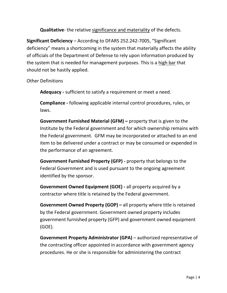**Qualitative**- the relative significance and materiality of the defects.

**Significant Deficiency** – According to DFARS 252.242-7005, "Significant deficiency" means a shortcoming in the system that materially affects the ability of officials of the Department of Defense to rely upon information produced by the system that is needed for management purposes. This is a high bar that should not be hastily applied.

Other Definitions

**Adequacy -** sufficient to satisfy a requirement or meet a need.

**Compliance -** following applicable internal control procedures, rules, or laws.

**Government Furnished Material (GFM) –** property that is given to the Institute by the Federal government and for which ownership remains with the Federal government. GFM may be incorporated or attached to an end item to be delivered under a contract or may be consumed or expended in the performance of an agreement.

**Government Furnished Property (GFP) -** property that belongs to the Federal Government and is used pursuant to the ongoing agreement identified by the sponsor.

**Government Owned Equipment (GOE) -** all property acquired by a contractor where title is retained by the Federal government.

**Government Owned Property (GOP) –** all property where title is retained by the Federal government. Government owned property includes government furnished property (GFP) and government owned equipment (GOE).

**Government Property Administrator (GPA)** – authorized representative of the contracting officer appointed in accordance with government agency procedures. He or she is responsible for administering the contract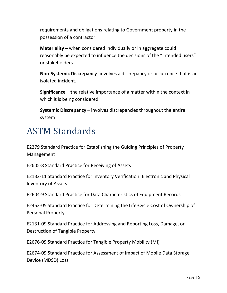requirements and obligations relating to Government property in the possession of a contractor.

**Materiality –** when considered individually or in aggregate could reasonably be expected to influence the decisions of the "intended users" or stakeholders.

**Non-Systemic Discrepancy**- involves a discrepancy or occurrence that is an isolated incident.

**Significance – t**he relative importance of a matter within the context in which it is being considered.

**Systemic Discrepancy** – involves discrepancies throughout the entire system

## ASTM Standards

E2279 Standard Practice for Establishing the Guiding Principles of Property Management

E2605-8 Standard Practice for Receiving of Assets

E2132-11 Standard Practice for Inventory Verification: Electronic and Physical Inventory of Assets

E2604-9 Standard Practice for Data Characteristics of Equipment Records

E2453-05 Standard Practice for Determining the Life-Cycle Cost of Ownership of Personal Property

E2131-09 Standard Practice for Addressing and Reporting Loss, Damage, or Destruction of Tangible Property

E2676-09 Standard Practice for Tangible Property Mobility (MI)

E2674-09 Standard Practice for Assessment of Impact of Mobile Data Storage Device (MDSD) Loss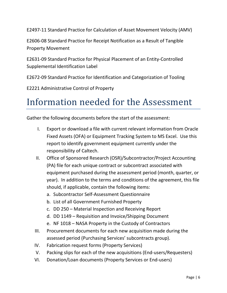E2497-11 Standard Practice for Calculation of Asset Movement Velocity (AMV)

E2606-08 Standard Practice for Receipt Notification as a Result of Tangible Property Movement

E2631-09 Standard Practice for Physical Placement of an Entity-Controlled Supplemental Identification Label

E2672-09 Standard Practice for Identification and Categorization of Tooling

E2221 Administrative Control of Property

## Information needed for the Assessment

Gather the following documents before the start of the assessment:

- I. Export or download a file with current relevant information from Oracle Fixed Assets (OFA) or Equipment Tracking System to MS Excel. Use this report to identify government equipment currently under the responsibility of Caltech.
- II. Office of Sponsored Research (OSR)/Subcontractor/Project Accounting (PA) file for each unique contract or subcontract associated with equipment purchased during the assessment period (month, quarter, or year). In addition to the terms and conditions of the agreement, this file should, if applicable, contain the following items:
	- a. Subcontractor Self-Assessment Questionnaire
	- b. List of all Government Furnished Property
	- c. DD 250 Material Inspection and Receiving Report
	- d. DD 1149 Requisition and Invoice/Shipping Document
	- e. NF 1018 NASA Property in the Custody of Contractors
- III. Procurement documents for each new acquisition made during the assessed period (Purchasing Services' subcontracts group).
- IV. Fabrication request forms (Property Services)
- V. Packing slips for each of the new acquisitions (End-users/Requesters)
- VI. Donation/Loan documents (Property Services or End-users)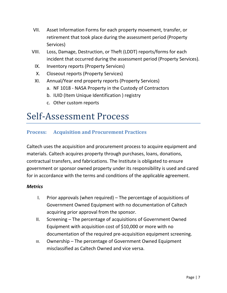- VII. Asset Information Forms for each property movement, transfer, or retirement that took place during the assessment period (Property Services)
- VIII. Loss, Damage, Destruction, or Theft (LDDT) reports/forms for each incident that occurred during the assessment period (Property Services).
	- IX. Inventory reports (Property Services)
	- X. Closeout reports (Property Services)
	- XI. Annual/Year end property reports (Property Services)
		- a. NF 1018 NASA Property in the Custody of Contractors
		- b. IUID (Item Unique Identification ) registry
		- c. Other custom reports

## Self-Assessment Process

#### **Process: Acquisition and Procurement Practices**

Caltech uses the acquisition and procurement process to acquire equipment and materials. Caltech acquires property through purchases, loans, donations, contractual transfers, and fabrications. The Institute is obligated to ensure government or sponsor owned property under its responsibility is used and cared for in accordance with the terms and conditions of the applicable agreement.

#### *Metrics*

- I. Prior approvals (when required) The percentage of acquisitions of Government Owned Equipment with no documentation of Caltech acquiring prior approval from the sponsor.
- II. Screening The percentage of acquisitions of Government Owned Equipment with acquisition cost of \$10,000 or more with no documentation of the required pre-acquisition equipment screening.
- III. Ownership The percentage of Government Owned Equipment misclassified as Caltech Owned and vice versa.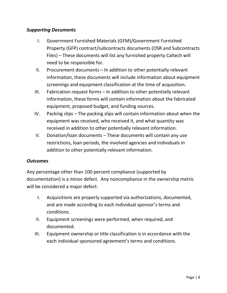#### *Supporting Documents*

- I. Government Furnished Materials (GFM)/Government Furnished Property (GFP) contract/subcontracts documents (OSR and Subcontracts Files) – These documents will list any furnished property Caltech will need to be responsible for.
- II. Procurement documents In addition to other potentially relevant information, these documents will include information about equipment screenings and equipment classification at the time of acquisition.
- III. Fabrication request forms In addition to other potentially relevant information, these forms will contain information about the fabricated equipment, proposed budget, and funding sources.
- IV. Packing slips The packing slips will contain information about when the equipment was received, who received it, and what quantity was received in addition to other potentially relevant information.
- V. Donation/loan documents These documents will contain any use restrictions, loan periods, the involved agencies and individuals in addition to other potentially relevant information.

#### *Outcomes*

Any percentage other than 100 percent compliance (supported by documentation) is a minor defect. Any noncompliance in the ownership metric will be considered a major defect.

- I. Acquisitions are properly supported via authorizations, documented, and are made according to each individual sponsor's terms and conditions.
- II. Equipment screenings were performed, when required, and documented.
- III. Equipment ownership or title classification is in accordance with the each individual sponsored agreement's terms and conditions.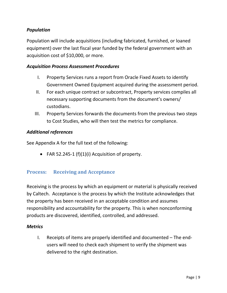#### *Population*

Population will include acquisitions (including fabricated, furnished, or loaned equipment) over the last fiscal year funded by the federal government with an acquisition cost of \$10,000, or more.

#### *Acquisition Process Assessment Procedures*

- I. Property Services runs a report from Oracle Fixed Assets to identify Government Owned Equipment acquired during the assessment period.
- II. For each unique contract or subcontract, Property services compiles all necessary supporting documents from the document's owners/ custodians.
- III. Property Services forwards the documents from the previous two steps to Cost Studies, who will then test the metrics for compliance.

#### *Additional references*

See Appendix A for the full text of the following:

• FAR 52.245-1 (f)(1)(i) Acquisition of property.

#### **Process: Receiving and Acceptance**

Receiving is the process by which an equipment or material is physically received by Caltech. Acceptance is the process by which the Institute acknowledges that the property has been received in an acceptable condition and assumes responsibility and accountability for the property. This is when nonconforming products are discovered, identified, controlled, and addressed.

#### *Metrics*

I. Receipts of items are properly identified and documented – The endusers will need to check each shipment to verify the shipment was delivered to the right destination.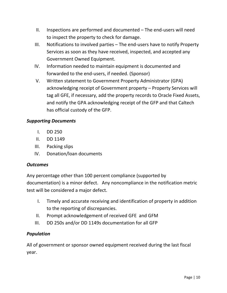- II. Inspections are performed and documented The end-users will need to inspect the property to check for damage.
- III. Notifications to involved parties The end-users have to notify Property Services as soon as they have received, inspected, and accepted any Government Owned Equipment.
- IV. Information needed to maintain equipment is documented and forwarded to the end-users, if needed. (Sponsor)
- V. Written statement to Government Property Administrator (GPA) acknowledging receipt of Government property – Property Services will tag all GFE, if necessary, add the property records to Oracle Fixed Assets, and notify the GPA acknowledging receipt of the GFP and that Caltech has official custody of the GFP.

#### *Supporting Documents*

- I. DD 250
- II. DD 1149
- III. Packing slips
- IV. Donation/loan documents

#### *Outcomes*

Any percentage other than 100 percent compliance (supported by documentation) is a minor defect. Any noncompliance in the notification metric test will be considered a major defect.

- I. Timely and accurate receiving and identification of property in addition to the reporting of discrepancies.
- II. Prompt acknowledgement of received GFE and GFM
- III. DD 250s and/or DD 1149s documentation for all GFP

#### *Population*

All of government or sponsor owned equipment received during the last fiscal year.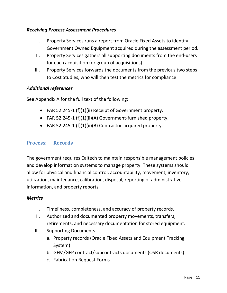#### *Receiving Process Assessment Procedures*

- I. Property Services runs a report from Oracle Fixed Assets to identify Government Owned Equipment acquired during the assessment period.
- II. Property Services gathers all supporting documents from the end-users for each acquisition (or group of acquisitions)
- III. Property Services forwards the documents from the previous two steps to Cost Studies, who will then test the metrics for compliance

#### *Additional references*

See Appendix A for the full text of the following:

- FAR 52.245-1 (f)(1)(ii) Receipt of Government property.
- FAR 52.245-1 (f)(1)(ii)(A) Government-furnished property.
- FAR 52.245-1 (f)(1)(ii)(B) Contractor-acquired property.

#### **Process: Records**

The government requires Caltech to maintain responsible management policies and develop information systems to manage property. These systems should allow for physical and financial control, accountability, movement, inventory, utilization, maintenance, calibration, disposal, reporting of administrative information, and property reports.

#### *Metrics*

- I. Timeliness, completeness, and accuracy of property records.
- II. Authorized and documented property movements, transfers, retirements, and necessary documentation for stored equipment.
- III. Supporting Documents
	- a. Property records (Oracle Fixed Assets and Equipment Tracking System)
	- b. GFM/GFP contract/subcontracts documents (OSR documents)
	- c. Fabrication Request Forms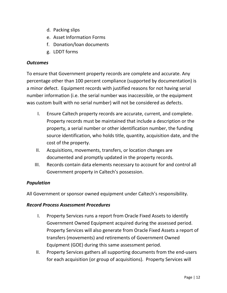- d. Packing slips
- e. Asset Information Forms
- f. Donation/loan documents
- g. LDDT forms

#### *Outcomes*

To ensure that Government property records are complete and accurate. Any percentage other than 100 percent compliance (supported by documentation) is a minor defect. Equipment records with justified reasons for not having serial number information (i.e. the serial number was inaccessible, or the equipment was custom built with no serial number) will not be considered as defects.

- I. Ensure Caltech property records are accurate, current, and complete. Property records must be maintained that include a description or the property, a serial number or other identification number, the funding source identification, who holds title, quantity, acquisition date, and the cost of the property.
- II. Acquisitions, movements, transfers, or location changes are documented and promptly updated in the property records.
- III. Records contain data elements necessary to account for and control all Government property in Caltech's possession.

#### *Population*

All Government or sponsor owned equipment under Caltech's responsibility.

#### *Record Process Assessment Procedures*

- I. Property Services runs a report from Oracle Fixed Assets to identify Government Owned Equipment acquired during the assessed period. Property Services will also generate from Oracle Fixed Assets a report of transfers (movements) and retirements of Government Owned Equipment (GOE) during this same assessment period.
- II. Property Services gathers all supporting documents from the end-users for each acquisition (or group of acquisitions). Property Services will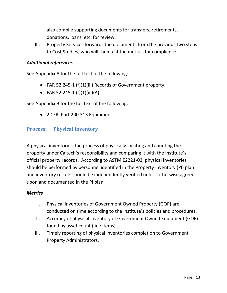also compile supporting documents for transfers, retirements, donations, loans, etc. for review.

III. Property Services forwards the documents from the previous two steps to Cost Studies, who will then test the metrics for compliance

#### *Additional references*

See Appendix A for the full text of the following:

- FAR 52.245-1 (f)(1)(iii) Records of Government property.
- FAR 52.245-1  $(f)(1)(iii)(A)$

See Appendix B for the full text of the following:

• 2 CFR, Part 200.313 Equipment

#### **Process: Physical Inventory**

A physical inventory is the process of physically locating and counting the property under Caltech's responsibility and comparing it with the Institute's official property records. According to ASTM E2221-02, physical inventories should be performed by personnel identified in the Property Inventory (PI) plan and inventory results should be independently verified unless otherwise agreed upon and documented in the PI plan.

#### *Metrics*

- I. Physical inventories of Government Owned Property (GOP) are conducted on time according to the Institute's policies and procedures.
- II. Accuracy of physical inventory of Government Owned Equipment (GOE) found by asset count (line items).
- III. Timely reporting of physical inventories completion to Government Property Administrators.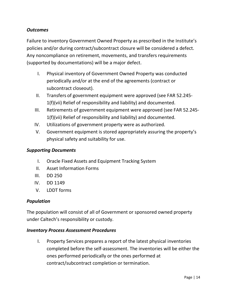#### *Outcomes*

Failure to inventory Government Owned Property as prescribed in the Institute's policies and/or during contract/subcontract closure will be considered a defect. Any noncompliance on retirement, movements, and transfers requirements (supported by documentations) will be a major defect.

- I. Physical inventory of Government Owned Property was conducted periodically and/or at the end of the agreements (contract or subcontract closeout).
- II. Transfers of government equipment were approved (see FAR 52.245- 1(f)(vii) Relief of responsibility and liability) and documented.
- III. Retirements of government equipment were approved (see FAR 52.245- 1(f)(vii) Relief of responsibility and liability) and documented.
- IV. Utilizations of government property were as authorized.
- V. Government equipment is stored appropriately assuring the property's physical safety and suitability for use.

#### *Supporting Documents*

- I. Oracle Fixed Assets and Equipment Tracking System
- II. Asset Information Forms
- III. DD 250
- IV. DD 1149
- V. LDDT forms

#### *Population*

The population will consist of all of Government or sponsored owned property under Caltech's responsibility or custody.

#### *Inventory Process Assessment Procedures*

I. Property Services prepares a report of the latest physical inventories completed before the self-assessment. The inventories will be either the ones performed periodically or the ones performed at contract/subcontract completion or termination.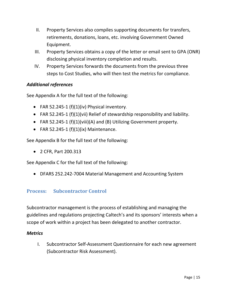- II. Property Services also compiles supporting documents for transfers, retirements, donations, loans, etc. involving Government Owned Equipment.
- III. Property Services obtains a copy of the letter or email sent to GPA (ONR) disclosing physical inventory completion and results.
- IV. Property Services forwards the documents from the previous three steps to Cost Studies, who will then test the metrics for compliance.

#### *Additional references*

See Appendix A for the full text of the following:

- FAR 52.245-1 (f) $(1)(iv)$  Physical inventory.
- FAR 52.245-1 (f)(1)(vii) Relief of stewardship responsibility and liability.
- FAR 52.245-1 (f)(1)(viii)(A) and (B) Utilizing Government property.
- FAR 52.245-1  $(f)(1)(ix)$  Maintenance.

See Appendix B for the full text of the following:

• 2 CFR, Part 200.313

See Appendix C for the full text of the following:

• DFARS 252.242-7004 Material Management and Accounting System

#### **Process: Subcontractor Control**

Subcontractor management is the process of establishing and managing the guidelines and regulations projecting Caltech's and its sponsors' interests when a scope of work within a project has been delegated to another contractor.

#### *Metrics*

I. Subcontractor Self-Assessment Questionnaire for each new agreement (Subcontractor Risk Assessment).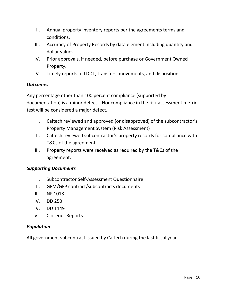- II. Annual property inventory reports per the agreements terms and conditions.
- III. Accuracy of Property Records by data element including quantity and dollar values.
- IV. Prior approvals, if needed, before purchase or Government Owned Property.
- V. Timely reports of LDDT, transfers, movements, and dispositions.

#### *Outcomes*

Any percentage other than 100 percent compliance (supported by documentation) is a minor defect. Noncompliance in the risk assessment metric test will be considered a major defect.

- I. Caltech reviewed and approved (or disapproved) of the subcontractor's Property Management System (Risk Assessment)
- II. Caltech reviewed subcontractor's property records for compliance with T&Cs of the agreement.
- III. Property reports were received as required by the T&Cs of the agreement.

#### *Supporting Documents*

- I. Subcontractor Self-Assessment Questionnaire
- II. GFM/GFP contract/subcontracts documents
- III. NF 1018
- IV. DD 250
- V. DD 1149
- VI. Closeout Reports

#### *Population*

All government subcontract issued by Caltech during the last fiscal year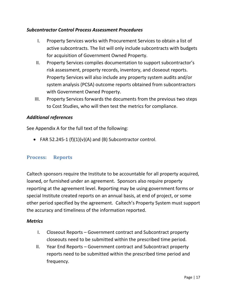#### *Subcontractor Control Process Assessment Procedures*

- I. Property Services works with Procurement Services to obtain a list of active subcontracts. The list will only include subcontracts with budgets for acquisition of Government Owned Property.
- II. Property Services compiles documentation to support subcontractor's risk assessment, property records, inventory, and closeout reports. Property Services will also include any property system audits and/or system analysis (PCSA) outcome reports obtained from subcontractors with Government Owned Property.
- III. Property Services forwards the documents from the previous two steps to Cost Studies, who will then test the metrics for compliance.

#### *Additional references*

See Appendix A for the full text of the following:

• FAR 52.245-1  $(f)(1)(v)(A)$  and  $(B)$  Subcontractor control.

#### **Process: Reports**

Caltech sponsors require the Institute to be accountable for all property acquired, loaned, or furnished under an agreement. Sponsors also require property reporting at the agreement level. Reporting may be using government forms or special Institute created reports on an annual basis, at end of project, or some other period specified by the agreement. Caltech's Property System must support the accuracy and timeliness of the information reported.

#### *Metrics*

- I. Closeout Reports Government contract and Subcontract property closeouts need to be submitted within the prescribed time period.
- II. Year End Reports Government contract and Subcontract property reports need to be submitted within the prescribed time period and frequency.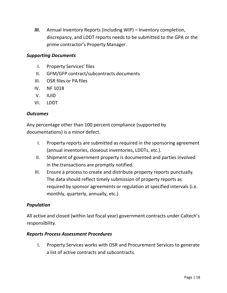*III.* Annual Inventory Reports (including WIP) – Inventory completion, discrepancy, and LDDT reports needs to be submitted to the GPA or the prime contractor's Property Manager.

#### *Supporting Documents*

- I. Property Services' files
- II. GFM/GFP contract/subcontracts documents
- III. OSR files or PA files
- IV. NF 1018
- V. IUID
- VI. LDDT

#### *Outcomes*

Any percentage other than 100 percent compliance (supported by documentations) is a minor defect.

- I. Property reports are submitted as required in the sponsoring agreement (annual inventories, closeout inventories, LDDTs, etc.).
- II. Shipment of government property is documented and parties involved in the transactions are promptly notified.
- III. Ensure a process to create and distribute property reports punctually. The data should reflect timely submission of property reports as required by sponsor agreements or regulation at specified intervals (i.e. monthly, quarterly, annually, etc.)

#### *Population*

All active and closed (within last fiscal year) government contracts under Caltech's responsibility.

#### *Reports Process Assessment Procedures*

I. Property Services works with OSR and Procurement Services to generate a list of active contracts and subcontracts.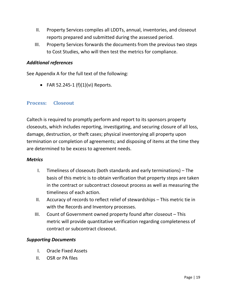- II. Property Services compiles all LDDTs, annual, inventories, and closeout reports prepared and submitted during the assessed period.
- III. Property Services forwards the documents from the previous two steps to Cost Studies, who will then test the metrics for compliance.

#### *Additional references*

See Appendix A for the full text of the following:

• FAR 52.245-1  $(f)(1)(vi)$  Reports.

#### **Process: Closeout**

Caltech is required to promptly perform and report to its sponsors property closeouts, which includes reporting, investigating, and securing closure of all loss, damage, destruction, or theft cases; physical inventorying all property upon termination or completion of agreements; and disposing of items at the time they are determined to be excess to agreement needs.

#### *Metrics*

- I. Timeliness of closeouts (both standards and early terminations) The basis of this metric is to obtain verification that property steps are taken in the contract or subcontract closeout process as well as measuring the timeliness of each action.
- II. Accuracy of records to reflect relief of stewardships This metric tie in with the Records and Inventory processes.
- III. Count of Government owned property found after closeout This metric will provide quantitative verification regarding completeness of contract or subcontract closeout.

#### *Supporting Documents*

- I. Oracle Fixed Assets
- II. OSR or PA files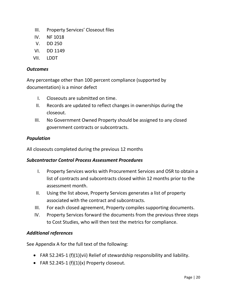- III. Property Services' Closeout files
- IV. NF 1018
- V. DD 250
- VI. DD 1149
- VII. LDDT

#### *Outcomes*

Any percentage other than 100 percent compliance (supported by documentation) is a minor defect

- I. Closeouts are submitted on time.
- II. Records are updated to reflect changes in ownerships during the closeout.
- III. No Government Owned Property should be assigned to any closed government contracts or subcontracts.

#### *Population*

All closeouts completed during the previous 12 months

#### *Subcontractor Control Process Assessment Procedures*

- I. Property Services works with Procurement Services and OSR to obtain a list of contracts and subcontracts closed within 12 months prior to the assessment month.
- II. Using the list above, Property Services generates a list of property associated with the contract and subcontracts.
- III. For each closed agreement, Property compiles supporting documents.
- IV. Property Services forward the documents from the previous three steps to Cost Studies, who will then test the metrics for compliance.

#### *Additional references*

See Appendix A for the full text of the following:

- FAR 52.245-1 (f)(1)(vii) Relief of stewardship responsibility and liability.
- FAR 52.245-1  $(f)(1)(x)$  Property closeout.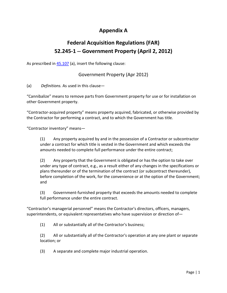#### **Appendix A**

#### **Federal Acquisition Regulations (FAR) 52.245-1 -- Government Property (April 2, 2012)**

As prescribed in [45.107](http://farsite.hill.af.mil/reghtml/regs/far2afmcfars/fardfars/far/45.htm#P86_13697) (a), insert the following clause:

Government Property (Apr 2012)

(a) *Definitions.* As used in this clause—

"Cannibalize" means to remove parts from Government property for use or for installation on other Government property.

"Contractor-acquired property" means property acquired, fabricated, or otherwise provided by the Contractor for performing a contract, and to which the Government has title.

"Contractor inventory" means—

(1) Any property acquired by and in the possession of a Contractor or subcontractor under a contract for which title is vested in the Government and which exceeds the amounts needed to complete full performance under the entire contract;

(2) Any property that the Government is obligated or has the option to take over under any type of contract, e.g., as a result either of any changes in the specifications or plans thereunder or of the termination of the contract (or subcontract thereunder), before completion of the work, for the convenience or at the option of the Government; and

(3) Government-furnished property that exceeds the amounts needed to complete full performance under the entire contract.

"Contractor's managerial personnel" means the Contractor's directors, officers, managers, superintendents, or equivalent representatives who have supervision or direction of—

(1) All or substantially all of the Contractor's business;

(2) All or substantially all of the Contractor's operation at any one plant or separate location; or

(3) A separate and complete major industrial operation.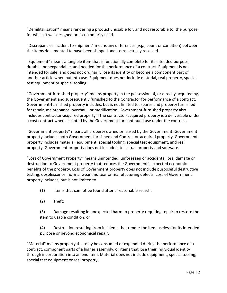"Demilitarization" means rendering a product unusable for, and not restorable to, the purpose for which it was designed or is customarily used.

"Discrepancies incident to shipment" means any differences (*e.g.*, count or condition) between the items documented to have been shipped and items actually received.

"Equipment" means a tangible item that is functionally complete for its intended purpose, durable, nonexpendable, and needed for the performance of a contract. Equipment is not intended for sale, and does not ordinarily lose its identity or become a component part of another article when put into use. Equipment does not include material, real property, special test equipment or special tooling.

"Government-furnished property" means property in the possession of, or directly acquired by, the Government and subsequently furnished to the Contractor for performance of a contract. Government-furnished property includes, but is not limited to, spares and property furnished for repair, maintenance, overhaul, or modification. Government-furnished property also includes contractor-acquired property if the contractor-acquired property is a deliverable under a cost contract when accepted by the Government for continued use under the contract.

"Government property" means all property owned or leased by the Government. Government property includes both Government-furnished and Contractor-acquired property. Government property includes material, equipment, special tooling, special test equipment, and real property. Government property does not include intellectual property and software.

"Loss of Government Property" means unintended, unforeseen or accidental loss, damage or destruction to Government property that reduces the Government's expected economic benefits of the property. Loss of Government property does not include purposeful destructive testing, obsolescence, normal wear and tear or manufacturing defects. Loss of Government property includes, but is not limited to—

- (1) Items that cannot be found after a reasonable search:
- (2) Theft:

(3) Damage resulting in unexpected harm to property requiring repair to restore the item to usable condition; or

(4) Destruction resulting from incidents that render the item useless for its intended purpose or beyond economical repair.

"Material" means property that may be consumed or expended during the performance of a contract, component parts of a higher assembly, or items that lose their individual identity through incorporation into an end item. Material does not include equipment, special tooling, special test equipment or real property.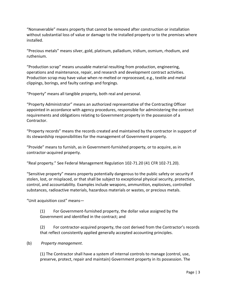"Nonseverable" means property that cannot be removed after construction or installation without substantial loss of value or damage to the installed property or to the premises where installed.

"Precious metals" means silver, gold, platinum, palladium, iridium, osmium, rhodium, and ruthenium.

"Production scrap" means unusable material resulting from production, engineering, operations and maintenance, repair, and research and development contract activities. Production scrap may have value when re-melted or reprocessed, e.g., textile and metal clippings, borings, and faulty castings and forgings.

"Property" means all tangible property, both real and personal.

"Property Administrator" means an authorized representative of the Contracting Officer appointed in accordance with agency procedures, responsible for administering the contract requirements and obligations relating to Government property in the possession of a Contractor.

"Property records" means the records created and maintained by the contractor in support of its stewardship responsibilities for the management of Government property.

"Provide" means to furnish, as in Government-furnished property, or to acquire, as in contractor-acquired property.

"Real property." See Federal Management Regulation 102-71.20 (41 CFR 102-71.20).

"Sensitive property" means property potentially dangerous to the public safety or security if stolen, lost, or misplaced, or that shall be subject to exceptional physical security, protection, control, and accountability. Examples include weapons, ammunition, explosives, controlled substances, radioactive materials, hazardous materials or wastes, or precious metals.

"Unit acquisition cost" means—

(1) For Government-furnished property, the dollar value assigned by the Government and identified in the contract; and

(2) For contractor-acquired property, the cost derived from the Contractor's records that reflect consistently applied generally accepted accounting principles.

#### (b) *Property management*.

(1) The Contractor shall have a system of internal controls to manage (control, use, preserve, protect, repair and maintain) Government property in its possession. The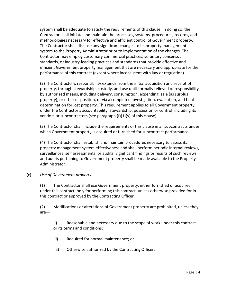system shall be adequate to satisfy the requirements of this clause. In doing so, the Contractor shall initiate and maintain the processes, systems, procedures, records, and methodologies necessary for effective and efficient control of Government property. The Contractor shall disclose any significant changes to its property management system to the Property Administrator prior to implementation of the changes. The Contractor may employ customary commercial practices, voluntary consensus standards, or industry-leading practices and standards that provide effective and efficient Government property management that are necessary and appropriate for the performance of this contract (except where inconsistent with law or regulation).

(2) The Contractor's responsibility extends from the initial acquisition and receipt of property, through stewardship, custody, and use until formally relieved of responsibility by authorized means, including delivery, consumption, expending, sale (as surplus property), or other disposition, or via a completed investigation, evaluation, and final determination for lost property. This requirement applies to all Government property under the Contractor's accountability, stewardship, possession or control, including its vendors or subcontractors (see paragraph (f)(1)(v) of this clause).

(3) The Contractor shall include the requirements of this clause in all subcontracts under which Government property is acquired or furnished for subcontract performance.

(4) The Contractor shall establish and maintain procedures necessary to assess its property management system effectiveness and shall perform periodic internal reviews, surveillances, self assessments, or audits. Significant findings or results of such reviews and audits pertaining to Government property shall be made available to the Property Administrator.

#### (c) *Use of Government property*.

(1) The Contractor shall use Government property, either furnished or acquired under this contract, only for performing this contract, unless otherwise provided for in this contract or approved by the Contracting Officer.

(2) Modifications or alterations of Government property are prohibited, unless they are—

(i) Reasonable and necessary due to the scope of work under this contract or its terms and conditions;

- (ii) Required for normal maintenance; or
- (iii) Otherwise authorized by the Contracting Officer.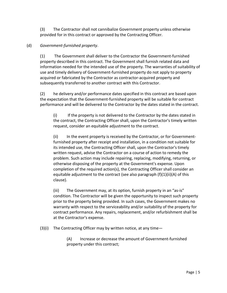(3) The Contractor shall not cannibalize Government property unless otherwise provided for in this contract or approved by the Contracting Officer.

#### (d) *Government-furnished property*.

(1) The Government shall deliver to the Contractor the Government-furnished property described in this contract. The Government shall furnish related data and information needed for the intended use of the property. The warranties of suitability of use and timely delivery of Government-furnished property do not apply to property acquired or fabricated by the Contractor as contractor-acquired property and subsequently transferred to another contract with this Contractor.

(2) he delivery and/or performance dates specified in this contract are based upon the expectation that the Government-furnished property will be suitable for contract performance and will be delivered to the Contractor by the dates stated in the contract.

(i) If the property is not delivered to the Contractor by the dates stated in the contract, the Contracting Officer shall, upon the Contractor's timely written request, consider an equitable adjustment to the contract.

(ii) In the event property is received by the Contractor, or for Governmentfurnished property after receipt and installation, in a condition not suitable for its intended use, the Contracting Officer shall, upon the Contractor's timely written request, advise the Contractor on a course of action to remedy the problem. Such action may include repairing, replacing, modifying, returning, or otherwise disposing of the property at the Government's expense. Upon completion of the required action(s), the Contracting Officer shall consider an equitable adjustment to the contract (see also paragraph (f)(1)(ii)(A) of this clause).

(iii) The Government may, at its option, furnish property in an "as-is" condition. The Contractor will be given the opportunity to inspect such property prior to the property being provided. In such cases, the Government makes no warranty with respect to the serviceability and/or suitability of the property for contract performance. Any repairs, replacement, and/or refurbishment shall be at the Contractor's expense.

 $(3)(i)$  The Contracting Officer may by written notice, at any time  $-$ 

(A) Increase or decrease the amount of Government-furnished property under this contract;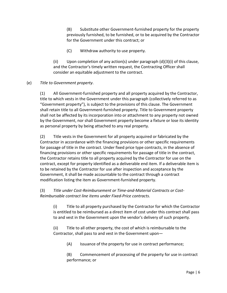(B) Substitute other Government-furnished property for the property previously furnished, to be furnished, or to be acquired by the Contractor for the Government under this contract; or

(C) Withdraw authority to use property.

(ii) Upon completion of any action(s) under paragraph  $(d)(3)(i)$  of this clause, and the Contractor's timely written request, the Contracting Officer shall consider an equitable adjustment to the contract.

#### (e) *Title to Government property*.

(1) All Government-furnished property and all property acquired by the Contractor, title to which vests in the Government under this paragraph (collectively referred to as "Government property"), is subject to the provisions of this clause. The Government shall retain title to all Government-furnished property. Title to Government property shall not be affected by its incorporation into or attachment to any property not owned by the Government, nor shall Government property become a fixture or lose its identity as personal property by being attached to any real property.

(2) Title vests in the Government for all property acquired or fabricated by the Contractor in accordance with the financing provisions or other specific requirements for passage of title in the contract. Under fixed price type contracts, in the absence of financing provisions or other specific requirements for passage of title in the contract, the Contractor retains title to all property acquired by the Contractor for use on the contract, except for property identified as a deliverable end item. If a deliverable item is to be retained by the Contractor for use after inspection and acceptance by the Government, it shall be made accountable to the contract through a contract modification listing the item as Government-furnished property.

(3) *Title under Cost-Reimbursement or Time-and-Material Contracts or Cost-Reimbursable contract line items under Fixed-Price contracts*.

(i) Title to all property purchased by the Contractor for which the Contractor is entitled to be reimbursed as a direct item of cost under this contract shall pass to and vest in the Government upon the vendor's delivery of such property.

(ii) Title to all other property, the cost of which is reimbursable to the Contractor, shall pass to and vest in the Government upon—

(A) Issuance of the property for use in contract performance;

(B) Commencement of processing of the property for use in contract performance; or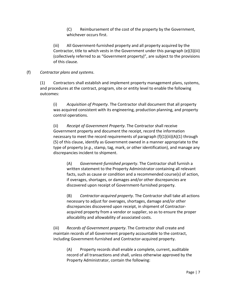(C) Reimbursement of the cost of the property by the Government, whichever occurs first.

(iii) All Government-furnished property and all property acquired by the Contractor, title to which vests in the Government under this paragraph (e)(3)(iii) (collectively referred to as "Government property)", are subject to the provisions of this clause.

#### (f) *Contractor plans and systems*.

(1) Contractors shall establish and implement property management plans, systems, and procedures at the contract, program, site or entity level to enable the following outcomes:

(i) *Acquisition of Property*. The Contractor shall document that all property was acquired consistent with its engineering, production planning, and property control operations.

(ii) *Receipt of Government Property*. The Contractor shall receive Government property and document the receipt, record the information necessary to meet the record requirements of paragraph  $(f)(1)(iii)(A)(1)$  through (5) of this clause, identify as Government owned in a manner appropriate to the type of property (*e.g*., stamp, tag, mark, or other identification), and manage any discrepancies incident to shipment.

(A) *Government-furnished property*. The Contractor shall furnish a written statement to the Property Administrator containing all relevant facts, such as cause or condition and a recommended course(s) of action, if overages, shortages, or damages and/or other discrepancies are discovered upon receipt of Government-furnished property.

(B) *Contractor-acquired property*. The Contractor shall take all actions necessary to adjust for overages, shortages, damage and/or other discrepancies discovered upon receipt, in shipment of Contractoracquired property from a vendor or supplier, so as to ensure the proper allocability and allowability of associated costs.

(iii) *Records of Government property*. The Contractor shall create and maintain records of all Government property accountable to the contract, including Government-furnished and Contractor-acquired property.

(A) Property records shall enable a complete, current, auditable record of all transactions and shall, unless otherwise approved by the Property Administrator, contain the following: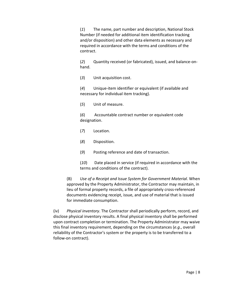(*1*) The name, part number and description, National Stock Number (if needed for additional item identification tracking and/or disposition) and other data elements as necessary and required in accordance with the terms and conditions of the contract.

(*2*) Quantity received (or fabricated), issued, and balance-onhand.

(*3*) Unit acquisition cost.

(*4*) Unique-item identifier or equivalent (if available and necessary for individual item tracking).

(*5*) Unit of measure.

(*6*) Accountable contract number or equivalent code designation.

- (*7*) Location.
- (*8*) Disposition.
- (*9*) Posting reference and date of transaction.

(*10*) Date placed in service (if required in accordance with the terms and conditions of the contract).

(B) *Use of a Receipt and Issue System for Government Material*. When approved by the Property Administrator, the Contractor may maintain, in lieu of formal property records, a file of appropriately cross-referenced documents evidencing receipt, issue, and use of material that is issued for immediate consumption.

(iv) *Physical inventory*. The Contractor shall periodically perform, record, and disclose physical inventory results. A final physical inventory shall be performed upon contract completion or termination. The Property Administrator may waive this final inventory requirement, depending on the circumstances (*e.g*., overall reliability of the Contractor's system or the property is to be transferred to a follow-on contract).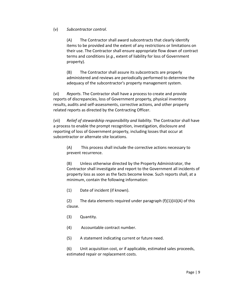#### (v) *Subcontractor control*.

(A) The Contractor shall award subcontracts that clearly identify items to be provided and the extent of any restrictions or limitations on their use. The Contractor shall ensure appropriate flow down of contract terms and conditions (*e.g.*, extent of liability for loss of Government property).

(B) The Contractor shall assure its subcontracts are properly administered and reviews are periodically performed to determine the adequacy of the subcontractor's property management system.

(vi) *Reports*. The Contractor shall have a process to create and provide reports of discrepancies, loss of Government property, physical inventory results, audits and self-assessments, corrective actions, and other property related reports as directed by the Contracting Officer.

(vii) *Relief of stewardship responsibility and liability*. The Contractor shall have a process to enable the prompt recognition, investigation, disclosure and reporting of loss of Government property, including losses that occur at subcontractor or alternate site locations.

(A) This process shall include the corrective actions necessary to prevent recurrence.

(B) Unless otherwise directed by the Property Administrator, the Contractor shall investigate and report to the Government all incidents of property loss as soon as the facts become know. Such reports shall, at a minimum, contain the following information:

(1) Date of incident (if known).

(2) The data elements required under paragraph  $(f)(1)(iii)(A)$  of this clause.

- (3) Quantity.
- (4) Accountable contract number.
- (5) A statement indicating current or future need.

(6) Unit acquisition cost, or if applicable, estimated sales proceeds, estimated repair or replacement costs.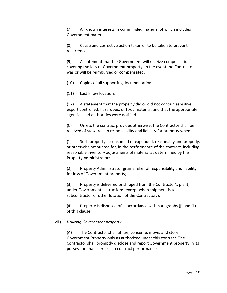(7) All known interests in commingled material of which includes Government material.

(8) Cause and corrective action taken or to be taken to prevent recurrence.

(9) A statement that the Government will receive compensation covering the loss of Government property, in the event the Contractor was or will be reimbursed or compensated.

(10) Copies of all supporting documentation.

(11) Last know location.

(12) A statement that the property did or did not contain sensitive, export controlled, hazardous, or toxic material, and that the appropriate agencies and authorities were notified.

(C) Unless the contract provides otherwise, the Contractor shall be relieved of stewardship responsibility and liability for property when—

(1) Such property is consumed or expended, reasonably and properly, or otherwise accounted for, in the performance of the contract, including reasonable inventory adjustments of material as determined by the Property Administrator;

(2) Property Administrator grants relief of responsibility and liability for loss of Government property;

(3) Property is delivered or shipped from the Contractor's plant, under Government instructions, except when shipment is to a subcontractor or other location of the Contractor; or

 $(4)$  Property is disposed of in accordance with paragraphs (j) and  $(k)$ of this clause.

#### (viii) *Utilizing Government property*.

(A) The Contractor shall utilize, consume, move, and store Government Property only as authorized under this contract. The Contractor shall promptly disclose and report Government property in its possession that is excess to contract performance.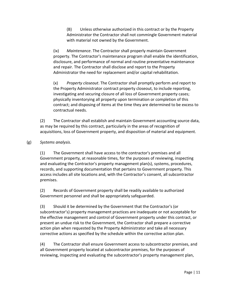(B) Unless otherwise authorized in this contract or by the Property Administrator the Contractor shall not commingle Government material with material not owned by the Government.

(ix) *Maintenance*. The Contractor shall properly maintain Government property. The Contractor's maintenance program shall enable the identification, disclosure, and performance of normal and routine preventative maintenance and repair. The Contractor shall disclose and report to the Property Administrator the need for replacement and/or capital rehabilitation.

(x) *Property closeout*. The Contractor shall promptly perform and report to the Property Administrator contract property closeout, to include reporting, investigating and securing closure of all loss of Government property cases; physically inventorying all property upon termination or completion of this contract; and disposing of items at the time they are determined to be excess to contractual needs.

(2) The Contractor shall establish and maintain Government accounting source data, as may be required by this contract, particularly in the areas of recognition of acquisitions, loss of Government property, and disposition of material and equipment.

(g) *Systems analysis*.

(1) The Government shall have access to the contractor's premises and all Government property, at reasonable times, for the purposes of reviewing, inspecting and evaluating the Contractor's property management plan(s), systems, procedures, records, and supporting documentation that pertains to Government property. This access includes all site locations and, with the Contractor's consent, all subcontractor premises.

(2) Records of Government property shall be readily available to authorized Government personnel and shall be appropriately safeguarded.

(3) Should it be determined by the Government that the Contractor's (or subcontractor's) property management practices are inadequate or not acceptable for the effective management and control of Government property under this contract, or present an undue risk to the Government, the Contractor shall prepare a corrective action plan when requested by the Property Administrator and take all necessary corrective actions as specified by the schedule within the corrective action plan.

(4) The Contractor shall ensure Government access to subcontractor premises, and all Government property located at subcontractor premises, for the purposes of reviewing, inspecting and evaluating the subcontractor's property management plan,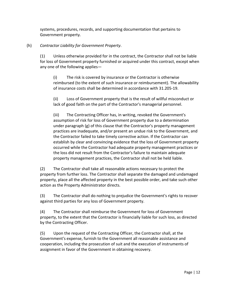systems, procedures, records, and supporting documentation that pertains to Government property.

#### (h) *Contractor Liability for Government Property*.

(1) Unless otherwise provided for in the contract, the Contractor shall not be liable for loss of Government property furnished or acquired under this contract, except when any one of the following applies—

(i) The risk is covered by insurance or the Contractor is otherwise reimbursed (to the extent of such insurance or reimbursement). The allowability of insurance costs shall be determined in accordance with 31.205-19.

(ii) Loss of Government property that is the result of willful misconduct or lack of good faith on the part of the Contractor's managerial personnel.

(iii) The Contracting Officer has, in writing, revoked the Government's assumption of risk for loss of Government property due to a determination under paragraph (g) of this clause that the Contractor's property management practices are inadequate, and/or present an undue risk to the Government, and the Contractor failed to take timely corrective action. If the Contractor can establish by clear and convincing evidence that the loss of Government property occurred while the Contractor had adequate property management practices or the loss did not result from the Contractor's failure to maintain adequate property management practices, the Contractor shall not be held liable.

(2) The Contractor shall take all reasonable actions necessary to protect the property from further loss. The Contractor shall separate the damaged and undamaged property, place all the affected property in the best possible order, and take such other action as the Property Administrator directs.

(3) The Contractor shall do nothing to prejudice the Government's rights to recover against third parties for any loss of Government property.

(4) The Contractor shall reimburse the Government for loss of Government property, to the extent that the Contractor is financially liable for such loss, as directed by the Contracting Officer.

(5) Upon the request of the Contracting Officer, the Contractor shall, at the Government's expense, furnish to the Government all reasonable assistance and cooperation, including the prosecution of suit and the execution of instruments of assignment in favor of the Government in obtaining recovery.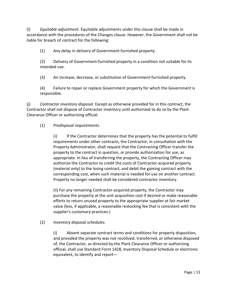(i) *Equitable adjustment*. Equitable adjustments under this clause shall be made in accordance with the procedures of the Changes clause. However, the Government shall not be liable for breach of contract for the following:

(1) Any delay in delivery of Government-furnished property.

(2) Delivery of Government-furnished property in a condition not suitable for its intended use.

(3) An increase, decrease, or substitution of Government-furnished property.

(4) Failure to repair or replace Government property for which the Government is responsible.

(j) *Contractor inventory disposal*. Except as otherwise provided for in this contract, the Contractor shall not dispose of Contractor inventory until authorized to do so by the Plant Clearance Officer or authorizing official.

#### (1) *Predisposal requirements*.

(i) If the Contractor determines that the property has the potential to fulfill requirements under other contracts, the Contractor, in consultation with the Property Administrator, shall request that the Contracting Officer transfer the property to the contract in question, or provide authorization for use, as appropriate. In lieu of transferring the property, the Contracting Officer may authorize the Contractor to credit the costs of Contractor-acquired property (material only) to the losing contract, and debit the gaining contract with the corresponding cost, when such material is needed for use on another contract. Property no longer needed shall be considered contractor inventory.

(ii) For any remaining Contractor-acquired property, the Contractor may purchase the property at the unit acquisition cost if desired or make reasonable efforts to return unused property to the appropriate supplier at fair market value (less, if applicable, a reasonable restocking fee that is consistent with the supplier's customary practices.)

#### (2) *Inventory disposal schedules*.

(i) Absent separate contract terms and conditions for property disposition, and provided the property was not reutilized, transferred, or otherwise disposed of, the Contractor, as directed by the Plant Clearance Officer or authorizing official, shall use Standard Form 1428, Inventory Disposal Schedule or electronic equivalent, to identify and report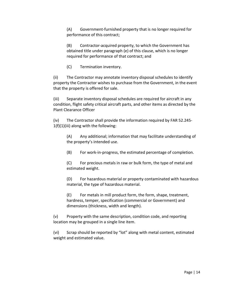(A) Government-furnished property that is no longer required for performance of this contract;

(B) Contractor-acquired property, to which the Government has obtained title under paragraph (e) of this clause, which is no longer required for performance of that contract; and

(C) Termination inventory.

(ii) The Contractor may annotate inventory disposal schedules to identify property the Contractor wishes to purchase from the Government, in the event that the property is offered for sale.

(iii) Separate inventory disposal schedules are required for aircraft in any condition, flight safety critical aircraft parts, and other items as directed by the Plant Clearance Officer

(iv) The Contractor shall provide the information required by FAR 52.245-  $1(f)(1)(iii)$  along with the following:

(A) Any additional; information that may facilitate understanding of the property's intended use.

(B) For work-in-progress, the estimated percentage of completion.

(C) For precious metals in raw or bulk form, the type of metal and estimated weight.

(D) For hazardous material or property contaminated with hazardous material, the type of hazardous material.

(E) For metals in mill product form, the form, shape, treatment, hardness, temper, specification (commercial or Government) and dimensions (thickness, width and length).

(v) Property with the same description, condition code, and reporting location may be grouped in a single line item.

(vi) Scrap should be reported by "lot" along with metal content, estimated weight and estimated value.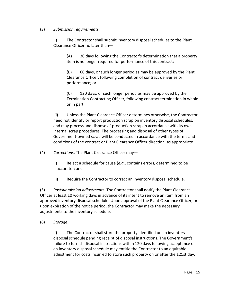#### (3) *Submission requirements*.

(i) The Contractor shall submit inventory disposal schedules to the Plant Clearance Officer no later than—

(A) 30 days following the Contractor's determination that a property item is no longer required for performance of this contract;

(B) 60 days, or such longer period as may be approved by the Plant Clearance Officer, following completion of contract deliveries or performance; or

(C) 120 days, or such longer period as may be approved by the Termination Contracting Officer, following contract termination in whole or in part.

(ii) Unless the Plant Clearance Officer determines otherwise, the Contractor need not identify or report production scrap on inventory disposal schedules, and may process and dispose of production scrap in accordance with its own internal scrap procedures. The processing and disposal of other types of Government-owned scrap will be conducted in accordance with the terms and conditions of the contract or Plant Clearance Officer direction, as appropriate.

(4) *Corrections*. The Plant Clearance Officer may—

(i) Reject a schedule for cause (*e.g*., contains errors, determined to be inaccurate); and

(ii) Require the Contractor to correct an inventory disposal schedule.

(5) *Postsubmission adjustments*. The Contractor shall notify the Plant Clearance Officer at least 10 working days in advance of its intent to remove an item from an approved inventory disposal schedule. Upon approval of the Plant Clearance Officer, or upon expiration of the notice period, the Contractor may make the necessary adjustments to the inventory schedule.

(6) *Storage*.

(i) The Contractor shall store the property identified on an inventory disposal schedule pending receipt of disposal instructions. The Government's failure to furnish disposal instructions within 120 days following acceptance of an inventory disposal schedule may entitle the Contractor to an equitable adjustment for costs incurred to store such property on or after the 121st day.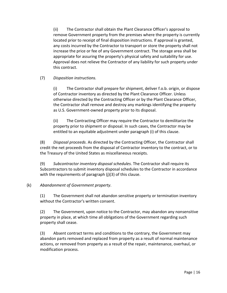(ii) The Contractor shall obtain the Plant Clearance Officer's approval to remove Government property from the premises where the property is currently located prior to receipt of final disposition instructions. If approval is granted, any costs incurred by the Contractor to transport or store the property shall not increase the price or fee of any Government contract. The storage area shall be appropriate for assuring the property's physical safety and suitability for use. Approval does not relieve the Contractor of any liability for such property under this contract.

#### (7) *Disposition instructions.*

(i) The Contractor shall prepare for shipment, deliver f.o.b. origin, or dispose of Contractor inventory as directed by the Plant Clearance Officer. Unless otherwise directed by the Contracting Officer or by the Plant Clearance Officer, the Contractor shall remove and destroy any markings identifying the property as U.S. Government-owned property prior to its disposal.

(ii) The Contracting Officer may require the Contractor to demilitarize the property prior to shipment or disposal. In such cases, the Contractor may be entitled to an equitable adjustment under paragraph (i) of this clause.

(8) *Disposal proceeds*. As directed by the Contracting Officer, the Contractor shall credit the net proceeds from the disposal of Contractor inventory to the contract, or to the Treasury of the United States as miscellaneous receipts.

(9) *Subcontractor inventory disposal schedules*. The Contractor shall require its Subcontractors to submit inventory disposal schedules to the Contractor in accordance with the requirements of paragraph (j)(3) of this clause.

#### (k) *Abandonment of Government property*.

(1) The Government shall not abandon sensitive property or termination inventory without the Contractor's written consent.

(2) The Government, upon notice to the Contractor, may abandon any nonsensitive property in place, at which time all obligations of the Government regarding such property shall cease.

(3) Absent contract terms and conditions to the contrary, the Government may abandon parts removed and replaced from property as a result of normal maintenance actions, or removed from property as a result of the repair, maintenance, overhaul, or modification process.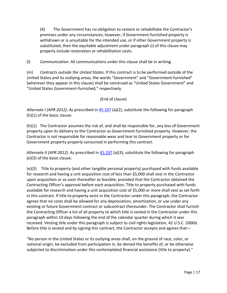(4) The Government has no obligation to restore or rehabilitate the Contractor's premises under any circumstances; however, if Government-furnished property is withdrawn or is unsuitable for the intended use, or if other Government property is substituted, then the equitable adjustment under paragraph (i) of this clause may properly include restoration or rehabilitation costs.

(l) *Communication*. All communications under this clause shall be in writing.

(m) *Contracts outside the United States*. If this contract is to be performed outside of the United States and its outlying areas, the words "Government" and "Government-furnished" (wherever they appear in this clause) shall be construed as "United States Government" and "United States Government-furnished," respectively.

(End of clause)

*Alternate I (APR 2012)***.** As prescribed in [45.107](http://farsite.hill.af.mil/reghtml/regs/far2afmcfars/fardfars/far/45.htm#P86_13697) (a)(2), substitute the following for paragraph (h)(1) of the basic clause:

(h)(1) The Contractor assumes the risk of, and shall be responsible for, any loss of Government property upon its delivery to the Contractor as Government-furnished property. However, the Contractor is not responsible for reasonable wear and tear to Government property or for Government property properly consumed in performing this contract.

*Alternate II (APR 2012)*. As prescribed in [45.107](http://farsite.hill.af.mil/reghtml/regs/far2afmcfars/fardfars/far/45.htm#P86_13697) (a)(3), substitute the following for paragraph (e)(3) of the basic clause:

(e)(3) Title to property (and other tangible personal property) purchased with funds available for research and having a unit acquisition cost of less than \$5,000 shall vest in the Contractor upon acquisition or as soon thereafter as feasible; provided that the Contractor obtained the Contracting Officer's approval before each acquisition. Title to property purchased with funds available for research and having a unit acquisition cost of \$5,000 or more shall vest as set forth in this contract. If title to property vests in the Contractor under this paragraph, the Contractor agrees that no costs shall be allowed for any depreciation, amortization, or use under any existing or future Government contract or subcontract thereunder. The Contractor shall furnish the Contracting Officer a list of all property to which title is vested in the Contractor under this paragraph within 10 days following the end of the calendar quarter during which it was received. Vesting title under this paragraph is subject to civil rights legislation, 42 U.S.C. 2000d. Before title is vested and by signing this contract, the Contractor accepts and agrees that—

"No person in the United States or its outlying areas shall, on the ground of race, color, or national origin, be excluded from participation in, be denied the benefits of, or be otherwise subjected to discrimination under this contemplated financial assistance (title to property)."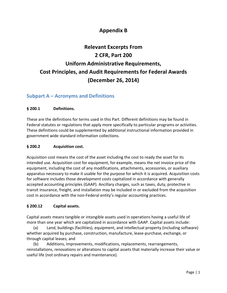#### **Appendix B**

#### **Relevant Excerpts From 2 CFR, Part 200 Uniform Administrative Requirements, Cost Principles, and Audit Requirements for Federal Awards (December 26, 2014)**

#### **Subpart A – Acronyms and Definitions**

#### **§ 200.1 Definitions.**

These are the definitions for terms used in this Part. Different definitions may be found in Federal statutes or regulations that apply more specifically to particular programs or activities. These definitions could be supplemented by additional instructional information provided in government wide standard information collections.

#### **§ 200.2 Acquisition cost.**

Acquisition cost means the cost of the asset including the cost to ready the asset for its intended use. Acquisition cost for equipment, for example, means the net invoice price of the equipment, including the cost of any modifications, attachments, accessories, or auxiliary apparatus necessary to make it usable for the purpose for which it is acquired. Acquisition costs for software includes those development costs capitalized in accordance with generally accepted accounting principles (GAAP). Ancillary charges, such as taxes, duty, protective in transit insurance, freight, and installation may be included in or excluded from the acquisition cost in accordance with the non-Federal entity's regular accounting practices.

#### **§ 200.12 Capital assets.**

Capital assets means tangible or intangible assets used in operations having a useful life of more than one year which are capitalized in accordance with GAAP. Capital assets include:

(a) Land, buildings (facilities), equipment, and intellectual property (including software) whether acquired by purchase, construction, manufacture, lease-purchase, exchange, or through capital leases; and

(b) Additions, improvements, modifications, replacements, rearrangements, reinstallations, renovations or alterations to capital assets that materially increase their value or useful life (not ordinary repairs and maintenance).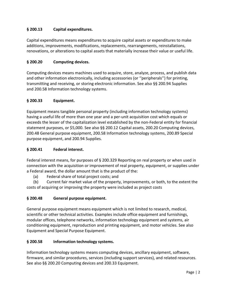#### **§ 200.13 Capital expenditures.**

Capital expenditures means expenditures to acquire capital assets or expenditures to make additions, improvements, modifications, replacements, rearrangements, reinstallations, renovations, or alterations to capital assets that materially increase their value or useful life.

#### **§ 200.20 Computing devices.**

Computing devices means machines used to acquire, store, analyze, process, and publish data and other information electronically, including accessories (or ''peripherals'') for printing, transmitting and receiving, or storing electronic information. See also §§ 200.94 Supplies and 200.58 Information technology systems.

#### **§ 200.33 Equipment.**

Equipment means tangible personal property (including information technology systems) having a useful life of more than one year and a per-unit acquisition cost which equals or exceeds the lesser of the capitalization level established by the non-Federal entity for financial statement purposes, or \$5,000. See also §§ 200.12 Capital assets, 200.20 Computing devices, 200.48 General purpose equipment, 200.58 Information technology systems, 200.89 Special purpose equipment, and 200.94 Supplies.

#### **§ 200.41 Federal interest.**

Federal interest means, for purposes of § 200.329 Reporting on real property or when used in connection with the acquisition or improvement of real property, equipment, or supplies under a Federal award, the dollar amount that is the product of the:

(a) Federal share of total project costs; and

(b) Current fair market value of the property, improvements, or both, to the extent the costs of acquiring or improving the property were included as project costs

#### **§ 200.48 General purpose equipment.**

General purpose equipment means equipment which is not limited to research, medical, scientific or other technical activities. Examples include office equipment and furnishings, modular offices, telephone networks, information technology equipment and systems, air conditioning equipment, reproduction and printing equipment, and motor vehicles. See also Equipment and Special Purpose Equipment.

#### **§ 200.58 Information technology systems.**

Information technology systems means computing devices, ancillary equipment, software, firmware, and similar procedures, services (including support services), and related resources. See also §§ 200.20 Computing devices and 200.33 Equipment.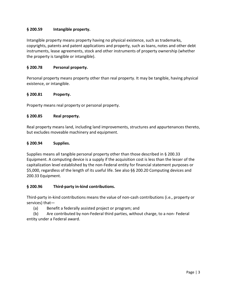#### **§ 200.59 Intangible property.**

Intangible property means property having no physical existence, such as trademarks, copyrights, patents and patent applications and property, such as loans, notes and other debt instruments, lease agreements, stock and other instruments of property ownership (whether the property is tangible or intangible).

#### **§ 200.78 Personal property.**

Personal property means property other than real property. It may be tangible, having physical existence, or intangible.

#### **§ 200.81 Property.**

Property means real property or personal property.

#### **§ 200.85 Real property.**

Real property means land, including land improvements, structures and appurtenances thereto, but excludes moveable machinery and equipment.

#### **§ 200.94 Supplies.**

Supplies means all tangible personal property other than those described in § 200.33 Equipment. A computing device is a supply if the acquisition cost is less than the lesser of the capitalization level established by the non-Federal entity for financial statement purposes or \$5,000, regardless of the length of its useful life. See also §§ 200.20 Computing devices and 200.33 Equipment.

#### **§ 200.96 Third-party in-kind contributions.**

Third-party in-kind contributions means the value of non-cash contributions (i.e., property or services) that—

(a) Benefit a federally assisted project or program; and

(b) Are contributed by non-Federal third parties, without charge, to a non- Federal entity under a Federal award.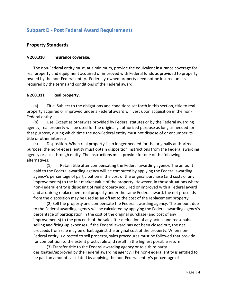#### **Subpart D - Post Federal Award Requirements**

#### **Property Standards**

#### **§ 200.310 Insurance coverage.**

The non-Federal entity must, at a minimum, provide the equivalent insurance coverage for real property and equipment acquired or improved with Federal funds as provided to property owned by the non-Federal entity. Federally-owned property need not be insured unless required by the terms and conditions of the Federal award.

#### **§ 200.311 Real property.**

(a) Title. Subject to the obligations and conditions set forth in this section, title to real property acquired or improved under a Federal award will vest upon acquisition in the non-Federal entity.

(b) Use. Except as otherwise provided by Federal statutes or by the Federal awarding agency, real property will be used for the originally authorized purpose as long as needed for that purpose, during which time the non-Federal entity must not dispose of or encumber its title or other interests.

(c) Disposition. When real property is no longer needed for the originally authorized purpose, the non-Federal entity must obtain disposition instructions from the Federal awarding agency or pass-through entity. The instructions must provide for one of the following alternatives:

(1) Retain title after compensating the Federal awarding agency. The amount paid to the Federal awarding agency will be computed by applying the Federal awarding agency's percentage of participation in the cost of the original purchase (and costs of any improvements) to the fair market value of the property. However, in those situations where non-Federal entity is disposing of real property acquired or improved with a Federal award and acquiring replacement real property under the same Federal award, the net proceeds from the disposition may be used as an offset to the cost of the replacement property.

(2) Sell the property and compensate the Federal awarding agency. The amount due to the Federal awarding agency will be calculated by applying the Federal awarding agency's percentage of participation in the cost of the original purchase (and cost of any improvements) to the proceeds of the sale after deduction of any actual and reasonable selling and fixing-up expenses. If the Federal award has not been closed out, the net proceeds from sale may be offset against the original cost of the property. When non-Federal entity is directed to sell property, sales procedures must be followed that provide for competition to the extent practicable and result in the highest possible return.

(3) Transfer title to the Federal awarding agency or to a third party designated/approved by the Federal awarding agency. The non-Federal entity is entitled to be paid an amount calculated by applying the non-Federal entity's percentage of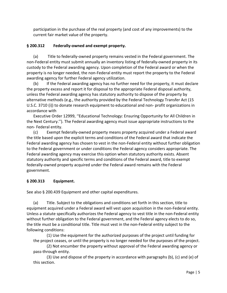participation in the purchase of the real property (and cost of any improvements) to the current fair market value of the property.

#### **§ 200.312 Federally-owned and exempt property.**

(a) Title to federally-owned property remains vested in the Federal government. The non-Federal entity must submit annually an inventory listing of federally-owned property in its custody to the Federal awarding agency. Upon completion of the Federal award or when the property is no longer needed, the non-Federal entity must report the property to the Federal awarding agency for further Federal agency utilization.

(b) If the Federal awarding agency has no further need for the property, it must declare the property excess and report it for disposal to the appropriate Federal disposal authority, unless the Federal awarding agency has statutory authority to dispose of the property by alternative methods (e.g., the authority provided by the Federal Technology Transfer Act (15 U.S.C. 3710 (i)) to donate research equipment to educational and non- profit organizations in accordance with

Executive Order 12999, ''Educational Technology: Ensuring Opportunity for All Children in the Next Century.''). The Federal awarding agency must issue appropriate instructions to the non- Federal entity.

(c) Exempt federally-owned property means property acquired under a Federal award the title based upon the explicit terms and conditions of the Federal award that indicate the Federal awarding agency has chosen to vest in the non-Federal entity without further obligation to the Federal government or under conditions the Federal agency considers appropriate. The Federal awarding agency may exercise this option when statutory authority exists. Absent statutory authority and specific terms and conditions of the Federal award, title to exempt federally-owned property acquired under the Federal award remains with the Federal government.

#### **§ 200.313 Equipment.**

See also § 200.439 Equipment and other capital expenditures.

(a) Title. Subject to the obligations and conditions set forth in this section, title to equipment acquired under a Federal award will vest upon acquisition in the non-Federal entity. Unless a statute specifically authorizes the Federal agency to vest title in the non-Federal entity without further obligation to the Federal government, and the Federal agency elects to do so, the title must be a conditional title. Title must vest in the non-Federal entity subject to the following conditions:

(1) Use the equipment for the authorized purposes of the project until funding for the project ceases, or until the property is no longer needed for the purposes of the project.

(2) Not encumber the property without approval of the Federal awarding agency or pass-through entity.

(3) Use and dispose of the property in accordance with paragraphs (b), (c) and (e) of this section.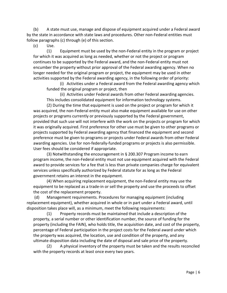(b) A state must use, manage and dispose of equipment acquired under a Federal award by the state in accordance with state laws and procedures. Other non-Federal entities must follow paragraphs (c) through (e) of this section.

(c) Use.

(1) Equipment must be used by the non-Federal entity in the program or project for which it was acquired as long as needed, whether or not the project or program continues to be supported by the Federal award, and the non-Federal entity must not encumber the property without prior approval of the Federal awarding agency. When no longer needed for the original program or project, the equipment may be used in other activities supported by the Federal awarding agency, in the following order of priority:

(i) Activities under a Federal award from the Federal awarding agency which funded the original program or project, then

(ii) Activities under Federal awards from other Federal awarding agencies. This includes consolidated equipment for information technology systems.

(2) During the time that equipment is used on the project or program for which it was acquired, the non-Federal entity must also make equipment available for use on other projects or programs currently or previously supported by the Federal government, provided that such use will not interfere with the work on the projects or program for which it was originally acquired. First preference for other use must be given to other programs or projects supported by Federal awarding agency that financed the equipment and second preference must be given to programs or projects under Federal awards from other Federal awarding agencies. Use for non-federally-funded programs or projects is also permissible. User fees should be considered if appropriate.

(3) Notwithstanding the encouragement in § 200.307 Program income to earn program income, the non-Federal entity must not use equipment acquired with the Federal award to provide services for a fee that is less than private companies charge for equivalent services unless specifically authorized by Federal statute for as long as the Federal government retains an interest in the equipment.

(4) When acquiring replacement equipment, the non-Federal entity may use the equipment to be replaced as a trade-in or sell the property and use the proceeds to offset the cost of the replacement property.

(d) Management requirements. Procedures for managing equipment (including replacement equipment), whether acquired in whole or in part under a Federal award, until disposition takes place will, as a minimum, meet the following requirements:

(1) Property records must be maintained that include a description of the property, a serial number or other identification number, the source of funding for the property (including the FAIN), who holds title, the acquisition date, and cost of the property, percentage of Federal participation in the project costs for the Federal award under which the property was acquired, the location, use and condition of the property, and any ultimate disposition data including the date of disposal and sale price of the property.

(2) A physical inventory of the property must be taken and the results reconciled with the property records at least once every two years.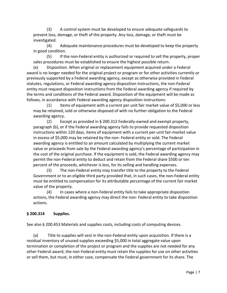(3) A control system must be developed to ensure adequate safeguards to prevent loss, damage, or theft of the property. Any loss, damage, or theft must be investigated.

(4) Adequate maintenance procedures must be developed to keep the property in good condition.

(5) If the non-Federal entity is authorized or required to sell the property, proper sales procedures must be established to ensure the highest possible return.

(e) Disposition. When original or replacement equipment acquired under a Federal award is no longer needed for the original project or program or for other activities currently or previously supported by a Federal awarding agency, except as otherwise provided in Federal statutes, regulations, or Federal awarding agency disposition instructions, the non-Federal entity must request disposition instructions from the Federal awarding agency if required by the terms and conditions of the Federal award. Disposition of the equipment will be made as follows, in accordance with Federal awarding agency disposition instructions:

(1) Items of equipment with a current per unit fair market value of \$5,000 or less may be retained, sold or otherwise disposed of with no further obligation to the Federal awarding agency.

(2) Except as provided in § 200.312 Federally-owned and exempt property, paragraph (b), or if the Federal awarding agency fails to provide requested disposition instructions within 120 days, items of equipment with a current per-unit fair-market value in excess of \$5,000 may be retained by the non- Federal entity or sold. The Federal awarding agency is entitled to an amount calculated by multiplying the current market value or proceeds from sale by the Federal awarding agency's percentage of participation in the cost of the original purchase. If the equipment is sold, the Federal awarding agency may permit the non-Federal entity to deduct and retain from the Federal share \$500 or ten percent of the proceeds, whichever is less, for its selling and handling expenses.

(3) The non-Federal entity may transfer title to the property to the Federal Government or to an eligible third party provided that, in such cases, the non-Federal entity must be entitled to compensation for its attributable percentage of the current fair market value of the property.

(4) In cases where a non-Federal entity fails to take appropriate disposition actions, the Federal awarding agency may direct the non- Federal entity to take disposition actions.

#### **§ 200.314 Supplies.**

See also § 200.453 Materials and supplies costs, including costs of computing devices.

(a) Title to supplies will vest in the non-Federal entity upon acquisition. If there is a residual inventory of unused supplies exceeding \$5,000 in total aggregate value upon termination or completion of the project or program and the supplies are not needed for any other Federal award, the non-Federal entity must retain the supplies for use on other activities or sell them, but must, in either case, compensate the Federal government for its share. The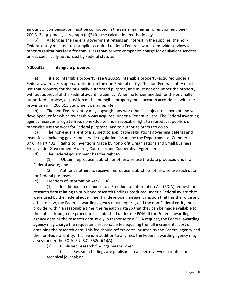amount of compensation must be computed in the same manner as for equipment. See § 200.313 equipment, paragraph (e)(2) for the calculation methodology.

(b) As long as the Federal government retains an interest in the supplies, the non-Federal entity must not use supplies acquired under a Federal award to provide services to other organizations for a fee that is less than private companies charge for equivalent services, unless specifically authorized by Federal statute.

#### **§ 200.315 Intangible property.**

(a) Title to intangible property (see § 200.59 Intangible property) acquired under a Federal award vests upon acquisition in the non-Federal entity. The non-Federal entity must use that property for the originally-authorized purpose, and must not encumber the property without approval of the Federal awarding agency. When no longer needed for the originally authorized purpose, disposition of the intangible property must occur in accordance with the provisions in § 200.313 Equipment paragraph (e).

(b) The non-Federal entity may copyright any work that is subject to copyright and was developed, or for which ownership was acquired, under a Federal award. The Federal awarding agency reserves a royalty-free, nonexclusive and irrevocable right to reproduce, publish, or otherwise use the work for Federal purposes, and to authorize others to do so.

(c) The non-Federal entity is subject to applicable regulations governing patents and inventions, including government wide regulations issued by the Department of Commerce at 37 CFR Part 401, ''Rights to Inventions Made by nonprofit Organizations and Small Business Firms Under Government Awards, Contracts and Cooperative Agreements.''

(d) The Federal government has the right to:

(1) Obtain, reproduce, publish, or otherwise use the data produced under a Federal award; and

(2) Authorize others to receive, reproduce, publish, or otherwise use such data for Federal purposes.

(e) Freedom of Information Act (FOIA).

(1) In addition, in response to a Freedom of Information Act (FOIA) request for research data relating to published research findings produced under a Federal award that were used by the Federal government in developing an agency action that has the force and effect of law, the Federal awarding agency must request, and the non-Federal entity must provide, within a reasonable time, the research data so that they can be made available to the public through the procedures established under the FOIA. If the Federal awarding agency obtains the research data solely in response to a FOIA request, the Federal awarding agency may charge the requester a reasonable fee equaling the full incremental cost of obtaining the research data. This fee should reflect costs incurred by the Federal agency and the non-Federal entity. This fee is in addition to any fees the Federal awarding agency may assess under the FOIA (5 U.S.C. 552(a)(4)(A)).

(2) Published research findings means when:

(i) Research findings are published in a peer-reviewed scientific or technical journal; or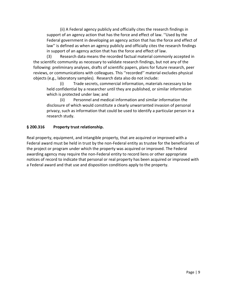(ii) A Federal agency publicly and officially cites the research findings in support of an agency action that has the force and effect of law. ''Used by the Federal government in developing an agency action that has the force and effect of law'' is defined as when an agency publicly and officially cites the research findings in support of an agency action that has the force and effect of law.

(3) Research data means the recorded factual material commonly accepted in the scientific community as necessary to validate research findings, but not any of the following: preliminary analyses, drafts of scientific papers, plans for future research, peer reviews, or communications with colleagues. This ''recorded'' material excludes physical objects (e.g., laboratory samples). Research data also do not include:

(i) Trade secrets, commercial information, materials necessary to be held confidential by a researcher until they are published, or similar information which is protected under law; and

(ii) Personnel and medical information and similar information the disclosure of which would constitute a clearly unwarranted invasion of personal privacy, such as information that could be used to identify a particular person in a research study.

#### **§ 200.316 Property trust relationship.**

Real property, equipment, and intangible property, that are acquired or improved with a Federal award must be held in trust by the non-Federal entity as trustee for the beneficiaries of the project or program under which the property was acquired or improved. The Federal awarding agency may require the non-Federal entity to record liens or other appropriate notices of record to indicate that personal or real property has been acquired or improved with a Federal award and that use and disposition conditions apply to the property.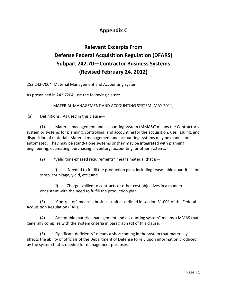#### **Appendix C**

#### **Relevant Excerpts From Defense Federal Acquisition Regulation (DFARS) Subpart 242.70—Contractor Business Systems (Revised February 24, 2012)**

252.242-7004 Material Management and Accounting System.

As prescribed in [242.7204,](http://www.acq.osd.mil/dpap/dars/dfars/html/current/242_72.htm#242.7204) use the following clause:

MATERIAL MANAGEMENT AND ACCOUNTING SYSTEM (MAY 2011)

(a) Definitions. As used in this clause—

(1) "Material management and accounting system (MMAS)" means the Contractor's system or systems for planning, controlling, and accounting for the acquisition, use, issuing, and disposition of material. Material management and accounting systems may be manual or automated. They may be stand-alone systems or they may be integrated with planning, engineering, estimating, purchasing, inventory, accounting, or other systems.

(2) "Valid time-phased requirements" means material that is—

(i) Needed to fulfill the production plan, including reasonable quantities for scrap, shrinkage, yield, etc.; and

(ii) Charged/billed to contracts or other cost objectives in a manner consistent with the need to fulfill the production plan.

(3) "Contractor" means a business unit as defined in section 31.001 of the Federal Acquisition Regulation (FAR).

(4) "Acceptable material management and accounting system" means a MMAS that generally complies with the system criteria in paragraph (d) of this clause.

(5) "Significant deficiency" means a shortcoming in the system that materially affects the ability of officials of the Department of Defense to rely upon information produced by the system that is needed for management purposes.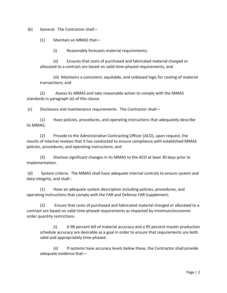(b) General. The Contractor shall—

(1) Maintain an MMAS that—

(i) Reasonably forecasts material requirements;

(ii) Ensures that costs of purchased and fabricated material charged or allocated to a contract are based on valid time-phased requirements; and

(iii) Maintains a consistent, equitable, and unbiased logic for costing of material transactions; and

(2) Assess its MMAS and take reasonable action to comply with the MMAS standards in paragraph (e) of this clause.

(c) Disclosure and maintenance requirements. The Contractor shall—

(1) Have policies, procedures, and operating instructions that adequately describe its MMAS;

(2) Provide to the Administrative Contracting Officer (ACO), upon request, the results of internal reviews that it has conducted to ensure compliance with established MMAS policies, procedures, and operating instructions; and

(3) Disclose significant changes in its MMAS to the ACO at least 30 days prior to implementation.

(d) System criteria. The MMAS shall have adequate internal controls to ensure system and data integrity, and shall--

(1) Have an adequate system description including policies, procedures, and operating instructions that comply with the FAR and Defense FAR Supplement;

(2) Ensure that costs of purchased and fabricated material charged or allocated to a contract are based on valid time-phased requirements as impacted by minimum/economic order quantity restrictions.

(i) A 98 percent bill of material accuracy and a 95 percent master production schedule accuracy are desirable as a goal in order to ensure that requirements are both valid and appropriately time-phased.

(ii) If systems have accuracy levels below these, the Contractor shall provide adequate evidence that—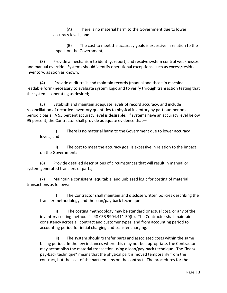(A) There is no material harm to the Government due to lower accuracy levels; and

(B) The cost to meet the accuracy goals is excessive in relation to the impact on the Government;

(3) Provide a mechanism to identify, report, and resolve system control weaknesses and manual override. Systems should identify operational exceptions, such as excess/residual inventory, as soon as known;

(4) Provide audit trails and maintain records (manual and those in machinereadable form) necessary to evaluate system logic and to verify through transaction testing that the system is operating as desired;

(5) Establish and maintain adequate levels of record accuracy, and include reconciliation of recorded inventory quantities to physical inventory by part number on a periodic basis. A 95 percent accuracy level is desirable. If systems have an accuracy level below 95 percent, the Contractor shall provide adequate evidence that—

(i) There is no material harm to the Government due to lower accuracy levels; and

(ii) The cost to meet the accuracy goal is excessive in relation to the impact on the Government;

(6) Provide detailed descriptions of circumstances that will result in manual or system generated transfers of parts;

(7) Maintain a consistent, equitable, and unbiased logic for costing of material transactions as follows:

(i) The Contractor shall maintain and disclose written policies describing the transfer methodology and the loan/pay-back technique.

(ii) The costing methodology may be standard or actual cost, or any of the inventory costing methods in 48 CFR 9904.411-50(b). The Contractor shall maintain consistency across all contract and customer types, and from accounting period to accounting period for initial charging and transfer charging.

(iii) The system should transfer parts and associated costs within the same billing period. In the few instances where this may not be appropriate, the Contractor may accomplish the material transaction using a loan/pay-back technique. The "loan/ pay-back technique" means that the physical part is moved temporarily from the contract, but the cost of the part remains on the contract. The procedures for the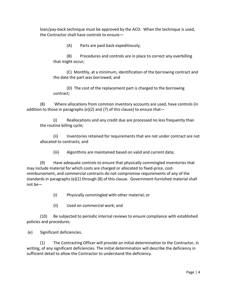loan/pay-back technique must be approved by the ACO. When the technique is used, the Contractor shall have controls to ensure—

(A) Parts are paid back expeditiously;

(B) Procedures and controls are in place to correct any overbilling that might occur;

(C) Monthly, at a minimum, identification of the borrowing contract and the date the part was borrowed; and

(D) The cost of the replacement part is charged to the borrowing contract;

(8) Where allocations from common inventory accounts are used, have controls (in addition to those in paragraphs (e)(2) and (7) of this clause) to ensure that—

(i) Reallocations and any credit due are processed no less frequently than the routine billing cycle;

(ii) Inventories retained for requirements that are not under contract are not allocated to contracts; and

(iii) Algorithms are maintained based on valid and current data;

(9) Have adequate controls to ensure that physically commingled inventories that may include material for which costs are charged or allocated to fixed-price, costreimbursement, and commercial contracts do not compromise requirements of any of the standards in paragraphs (e)(1) through (8) of this clause. Government-furnished material shall not be—

- (i) Physically commingled with other material; or
- (ii) Used on commercial work; and

(10) Be subjected to periodic internal reviews to ensure compliance with established policies and procedures.

(e) Significant deficiencies.

(1) The Contracting Officer will provide an initial determination to the Contractor, in writing, of any significant deficiencies. The initial determination will describe the deficiency in sufficient detail to allow the Contractor to understand the deficiency.